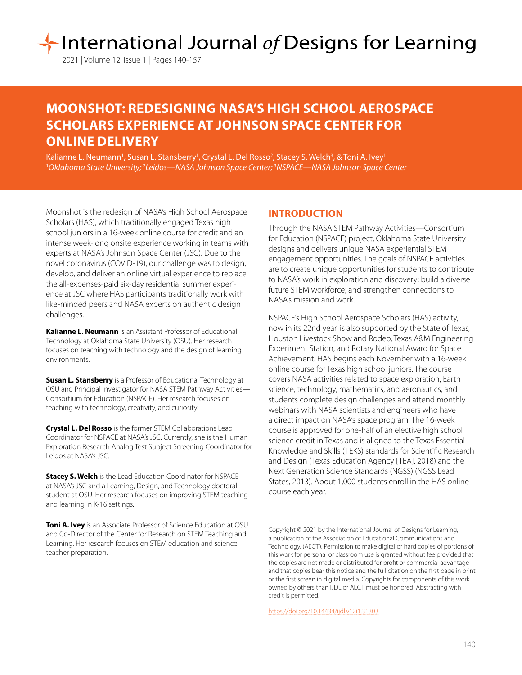# International Journal of Designs for Learning

2021 | Volume 12, Issue 1 | Pages 140-157

## **MOONSHOT: REDESIGNING NASA'S HIGH SCHOOL AEROSPACE SCHOLARS EXPERIENCE AT JOHNSON SPACE CENTER FOR ONLINE DELIVERY**

Kalianne L. Neumann', Susan L. Stansberry', Crystal L. Del Rosso<sup>2</sup>, Stacey S. Welch<sup>3</sup>, & Toni A. Ivey' 1 *Oklahoma State University;* <sup>2</sup> *Leidos—NASA Johnson Space Center;* <sup>3</sup> *NSPACE—NASA Johnson Space Center*

Moonshot is the redesign of NASA's High School Aerospace Scholars (HAS), which traditionally engaged Texas high school juniors in a 16-week online course for credit and an intense week-long onsite experience working in teams with experts at NASA's Johnson Space Center (JSC). Due to the novel coronavirus (COVID-19), our challenge was to design, develop, and deliver an online virtual experience to replace the all-expenses-paid six-day residential summer experience at JSC where HAS participants traditionally work with like-minded peers and NASA experts on authentic design challenges.

**Kalianne L. Neumann** is an Assistant Professor of Educational Technology at Oklahoma State University (OSU). Her research focuses on teaching with technology and the design of learning environments.

**Susan L. Stansberry** is a Professor of Educational Technology at OSU and Principal Investigator for NASA STEM Pathway Activities— Consortium for Education (NSPACE). Her research focuses on teaching with technology, creativity, and curiosity.

**Crystal L. Del Rosso** is the former STEM Collaborations Lead Coordinator for NSPACE at NASA's JSC. Currently, she is the Human Exploration Research Analog Test Subject Screening Coordinator for Leidos at NASA's JSC.

**Stacey S. Welch** is the Lead Education Coordinator for NSPACE at NASA's JSC and a Learning, Design, and Technology doctoral student at OSU. Her research focuses on improving STEM teaching and learning in K-16 settings.

**Toni A. Ivey** is an Associate Professor of Science Education at OSU and Co-Director of the Center for Research on STEM Teaching and Learning. Her research focuses on STEM education and science teacher preparation.

## **INTRODUCTION**

Through the NASA STEM Pathway Activities—Consortium for Education (NSPACE) project, Oklahoma State University designs and delivers unique NASA experiential STEM engagement opportunities. The goals of NSPACE activities are to create unique opportunities for students to contribute to NASA's work in exploration and discovery; build a diverse future STEM workforce; and strengthen connections to NASA's mission and work.

NSPACE's High School Aerospace Scholars (HAS) activity, now in its 22nd year, is also supported by the State of Texas, Houston Livestock Show and Rodeo, Texas A&M Engineering Experiment Station, and Rotary National Award for Space Achievement. HAS begins each November with a 16-week online course for Texas high school juniors. The course covers NASA activities related to space exploration, Earth science, technology, mathematics, and aeronautics, and students complete design challenges and attend monthly webinars with NASA scientists and engineers who have a direct impact on NASA's space program. The 16-week course is approved for one-half of an elective high school science credit in Texas and is aligned to the Texas Essential Knowledge and Skills (TEKS) standards for Scientific Research and Design (Texas Education Agency [TEA], 2018) and the Next Generation Science Standards (NGSS) (NGSS Lead States, 2013). About 1,000 students enroll in the HAS online course each year.

Copyright © 2021 by the International Journal of Designs for Learning, a publication of the Association of Educational Communications and Technology. (AECT). Permission to make digital or hard copies of portions of this work for personal or classroom use is granted without fee provided that the copies are not made or distributed for profit or commercial advantage and that copies bear this notice and the full citation on the first page in print or the first screen in digital media. Copyrights for components of this work owned by others than IJDL or AECT must be honored. Abstracting with credit is permitted.

[https://doi.org/](https://doi.org/10.14434/ijdl.v12i1.31303)10.14434/ijdl.v12i1.31303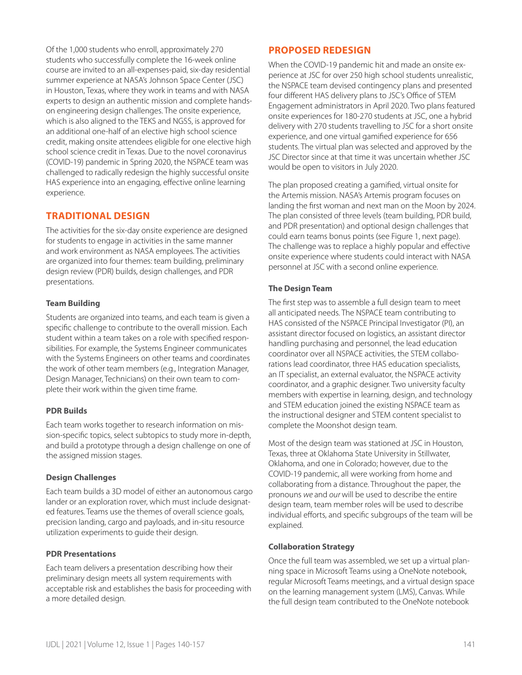Of the 1,000 students who enroll, approximately 270 students who successfully complete the 16-week online course are invited to an all-expenses-paid, six-day residential summer experience at NASA's Johnson Space Center (JSC) in Houston, Texas, where they work in teams and with NASA experts to design an authentic mission and complete handson engineering design challenges. The onsite experience, which is also aligned to the TEKS and NGSS, is approved for an additional one-half of an elective high school science credit, making onsite attendees eligible for one elective high school science credit in Texas. Due to the novel coronavirus (COVID-19) pandemic in Spring 2020, the NSPACE team was challenged to radically redesign the highly successful onsite HAS experience into an engaging, effective online learning experience.

## **TRADITIONAL DESIGN**

The activities for the six-day onsite experience are designed for students to engage in activities in the same manner and work environment as NASA employees. The activities are organized into four themes: team building, preliminary design review (PDR) builds, design challenges, and PDR presentations.

## **Team Building**

Students are organized into teams, and each team is given a specific challenge to contribute to the overall mission. Each student within a team takes on a role with specified responsibilities. For example, the Systems Engineer communicates with the Systems Engineers on other teams and coordinates the work of other team members (e.g., Integration Manager, Design Manager, Technicians) on their own team to complete their work within the given time frame.

## **PDR Builds**

Each team works together to research information on mission-specific topics, select subtopics to study more in-depth, and build a prototype through a design challenge on one of the assigned mission stages.

## **Design Challenges**

Each team builds a 3D model of either an autonomous cargo lander or an exploration rover, which must include designated features. Teams use the themes of overall science goals, precision landing, cargo and payloads, and in-situ resource utilization experiments to guide their design.

## **PDR Presentations**

Each team delivers a presentation describing how their preliminary design meets all system requirements with acceptable risk and establishes the basis for proceeding with a more detailed design.

## **PROPOSED REDESIGN**

When the COVID-19 pandemic hit and made an onsite experience at JSC for over 250 high school students unrealistic, the NSPACE team devised contingency plans and presented four different HAS delivery plans to JSC's Office of STEM Engagement administrators in April 2020. Two plans featured onsite experiences for 180-270 students at JSC, one a hybrid delivery with 270 students travelling to JSC for a short onsite experience, and one virtual gamified experience for 656 students. The virtual plan was selected and approved by the JSC Director since at that time it was uncertain whether JSC would be open to visitors in July 2020.

The plan proposed creating a gamified, virtual onsite for the Artemis mission. NASA's Artemis program focuses on landing the first woman and next man on the Moon by 2024. The plan consisted of three levels (team building, PDR build, and PDR presentation) and optional design challenges that could earn teams bonus points (see Figure 1, next page). The challenge was to replace a highly popular and effective onsite experience where students could interact with NASA personnel at JSC with a second online experience.

## **The Design Team**

The first step was to assemble a full design team to meet all anticipated needs. The NSPACE team contributing to HAS consisted of the NSPACE Principal Investigator (PI), an assistant director focused on logistics, an assistant director handling purchasing and personnel, the lead education coordinator over all NSPACE activities, the STEM collaborations lead coordinator, three HAS education specialists, an IT specialist, an external evaluator, the NSPACE activity coordinator, and a graphic designer. Two university faculty members with expertise in learning, design, and technology and STEM education joined the existing NSPACE team as the instructional designer and STEM content specialist to complete the Moonshot design team.

Most of the design team was stationed at JSC in Houston, Texas, three at Oklahoma State University in Stillwater, Oklahoma, and one in Colorado; however, due to the COVID-19 pandemic, all were working from home and collaborating from a distance. Throughout the paper, the pronouns *we* and *our* will be used to describe the entire design team, team member roles will be used to describe individual efforts, and specific subgroups of the team will be explained.

## **Collaboration Strategy**

Once the full team was assembled, we set up a virtual planning space in Microsoft Teams using a OneNote notebook, regular Microsoft Teams meetings, and a virtual design space on the learning management system (LMS), Canvas. While the full design team contributed to the OneNote notebook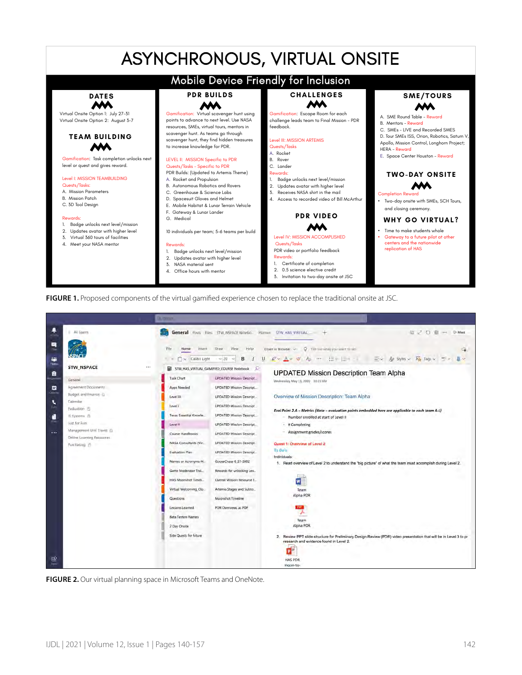## ASYNCHRONOUS, VIRTUAL ONSITE



**FIGURE 1.** Proposed components of the virtual gamified experience chosen to replace the traditional onsite at JSC.



**FIGURE 2.** Our virtual planning space in Microsoft Teams and OneNote.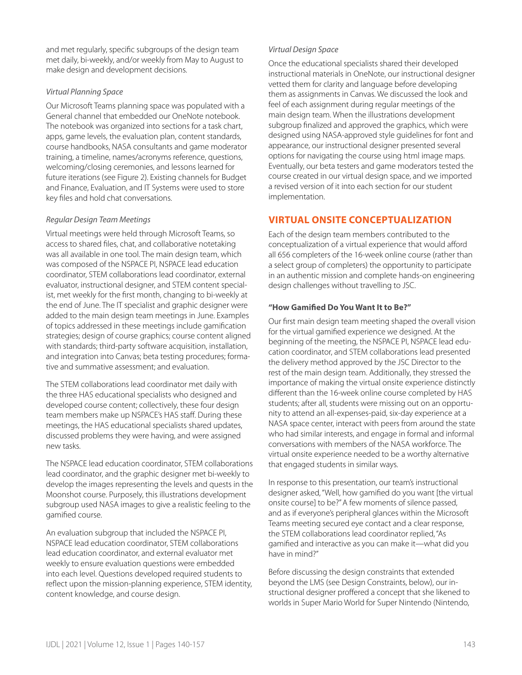and met regularly, specific subgroups of the design team met daily, bi-weekly, and/or weekly from May to August to make design and development decisions.

## *Virtual Planning Space*

Our Microsoft Teams planning space was populated with a General channel that embedded our OneNote notebook. The notebook was organized into sections for a task chart, apps, game levels, the evaluation plan, content standards, course handbooks, NASA consultants and game moderator training, a timeline, names/acronyms reference, questions, welcoming/closing ceremonies, and lessons learned for future iterations (see Figure 2). Existing channels for Budget and Finance, Evaluation, and IT Systems were used to store key files and hold chat conversations.

## *Regular Design Team Meetings*

Virtual meetings were held through Microsoft Teams, so access to shared files, chat, and collaborative notetaking was all available in one tool. The main design team, which was composed of the NSPACE PI, NSPACE lead education coordinator, STEM collaborations lead coordinator, external evaluator, instructional designer, and STEM content specialist, met weekly for the first month, changing to bi-weekly at the end of June. The IT specialist and graphic designer were added to the main design team meetings in June. Examples of topics addressed in these meetings include gamification strategies; design of course graphics; course content aligned with standards; third-party software acquisition, installation, and integration into Canvas; beta testing procedures; formative and summative assessment; and evaluation.

The STEM collaborations lead coordinator met daily with the three HAS educational specialists who designed and developed course content; collectively, these four design team members make up NSPACE's HAS staff. During these meetings, the HAS educational specialists shared updates, discussed problems they were having, and were assigned new tasks.

The NSPACE lead education coordinator, STEM collaborations lead coordinator, and the graphic designer met bi-weekly to develop the images representing the levels and quests in the Moonshot course. Purposely, this illustrations development subgroup used NASA images to give a realistic feeling to the gamified course.

An evaluation subgroup that included the NSPACE PI, NSPACE lead education coordinator, STEM collaborations lead education coordinator, and external evaluator met weekly to ensure evaluation questions were embedded into each level. Questions developed required students to reflect upon the mission-planning experience, STEM identity, content knowledge, and course design.

#### *Virtual Design Space*

Once the educational specialists shared their developed instructional materials in OneNote, our instructional designer vetted them for clarity and language before developing them as assignments in Canvas. We discussed the look and feel of each assignment during regular meetings of the main design team. When the illustrations development subgroup finalized and approved the graphics, which were designed using NASA-approved style guidelines for font and appearance, our instructional designer presented several options for navigating the course using html image maps. Eventually, our beta testers and game moderators tested the course created in our virtual design space, and we imported a revised version of it into each section for our student implementation.

## **VIRTUAL ONSITE CONCEPTUALIZATION**

Each of the design team members contributed to the conceptualization of a virtual experience that would afford all 656 completers of the 16-week online course (rather than a select group of completers) the opportunity to participate in an authentic mission and complete hands-on engineering design challenges without travelling to JSC.

## **"How Gamified Do You Want It to Be?"**

Our first main design team meeting shaped the overall vision for the virtual gamified experience we designed. At the beginning of the meeting, the NSPACE PI, NSPACE lead education coordinator, and STEM collaborations lead presented the delivery method approved by the JSC Director to the rest of the main design team. Additionally, they stressed the importance of making the virtual onsite experience distinctly different than the 16-week online course completed by HAS students; after all, students were missing out on an opportunity to attend an all-expenses-paid, six-day experience at a NASA space center, interact with peers from around the state who had similar interests, and engage in formal and informal conversations with members of the NASA workforce. The virtual onsite experience needed to be a worthy alternative that engaged students in similar ways.

In response to this presentation, our team's instructional designer asked, "Well, how gamified do you want [the virtual onsite course] to be?" A few moments of silence passed, and as if everyone's peripheral glances within the Microsoft Teams meeting secured eye contact and a clear response, the STEM collaborations lead coordinator replied, "As gamified and interactive as you can make it—what did you have in mind?"

Before discussing the design constraints that extended beyond the LMS (see Design Constraints, below), our instructional designer proffered a concept that she likened to worlds in Super Mario World for Super Nintendo (Nintendo,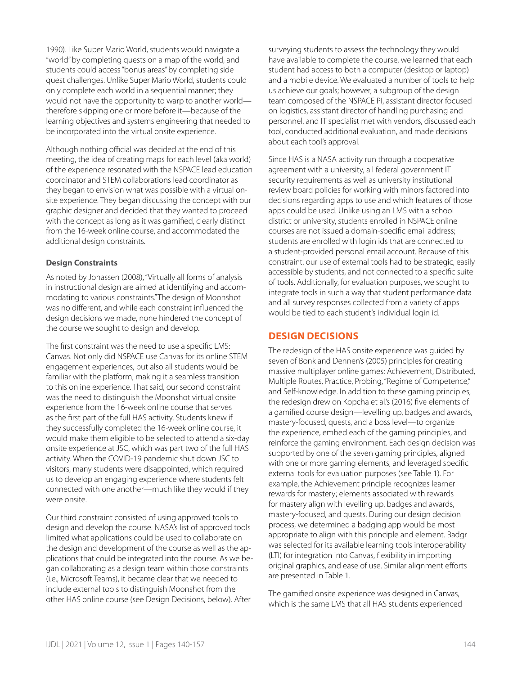1990). Like Super Mario World, students would navigate a "world" by completing quests on a map of the world, and students could access "bonus areas" by completing side quest challenges. Unlike Super Mario World, students could only complete each world in a sequential manner; they would not have the opportunity to warp to another world therefore skipping one or more before it—because of the learning objectives and systems engineering that needed to be incorporated into the virtual onsite experience.

Although nothing official was decided at the end of this meeting, the idea of creating maps for each level (aka world) of the experience resonated with the NSPACE lead education coordinator and STEM collaborations lead coordinator as they began to envision what was possible with a virtual onsite experience. They began discussing the concept with our graphic designer and decided that they wanted to proceed with the concept as long as it was gamified, clearly distinct from the 16-week online course, and accommodated the additional design constraints.

#### **Design Constraints**

As noted by Jonassen (2008), "Virtually all forms of analysis in instructional design are aimed at identifying and accommodating to various constraints." The design of Moonshot was no different, and while each constraint influenced the design decisions we made, none hindered the concept of the course we sought to design and develop.

The first constraint was the need to use a specific LMS: Canvas. Not only did NSPACE use Canvas for its online STEM engagement experiences, but also all students would be familiar with the platform, making it a seamless transition to this online experience. That said, our second constraint was the need to distinguish the Moonshot virtual onsite experience from the 16-week online course that serves as the first part of the full HAS activity. Students knew if they successfully completed the 16-week online course, it would make them eligible to be selected to attend a six-day onsite experience at JSC, which was part two of the full HAS activity. When the COVID-19 pandemic shut down JSC to visitors, many students were disappointed, which required us to develop an engaging experience where students felt connected with one another—much like they would if they were onsite.

Our third constraint consisted of using approved tools to design and develop the course. NASA's list of approved tools limited what applications could be used to collaborate on the design and development of the course as well as the applications that could be integrated into the course. As we began collaborating as a design team within those constraints (i.e., Microsoft Teams), it became clear that we needed to include external tools to distinguish Moonshot from the other HAS online course (see Design Decisions, below). After

surveying students to assess the technology they would have available to complete the course, we learned that each student had access to both a computer (desktop or laptop) and a mobile device. We evaluated a number of tools to help us achieve our goals; however, a subgroup of the design team composed of the NSPACE PI, assistant director focused on logistics, assistant director of handling purchasing and personnel, and IT specialist met with vendors, discussed each tool, conducted additional evaluation, and made decisions about each tool's approval.

Since HAS is a NASA activity run through a cooperative agreement with a university, all federal government IT security requirements as well as university institutional review board policies for working with minors factored into decisions regarding apps to use and which features of those apps could be used. Unlike using an LMS with a school district or university, students enrolled in NSPACE online courses are not issued a domain-specific email address; students are enrolled with login ids that are connected to a student-provided personal email account. Because of this constraint, our use of external tools had to be strategic, easily accessible by students, and not connected to a specific suite of tools. Additionally, for evaluation purposes, we sought to integrate tools in such a way that student performance data and all survey responses collected from a variety of apps would be tied to each student's individual login id.

## **DESIGN DECISIONS**

The redesign of the HAS onsite experience was guided by seven of Bonk and Dennen's (2005) principles for creating massive multiplayer online games: Achievement, Distributed, Multiple Routes, Practice, Probing, "Regime of Competence," and Self-knowledge. In addition to these gaming principles, the redesign drew on Kopcha et al.'s (2016) five elements of a gamified course design—levelling up, badges and awards, mastery-focused, quests, and a boss level—to organize the experience, embed each of the gaming principles, and reinforce the gaming environment. Each design decision was supported by one of the seven gaming principles, aligned with one or more gaming elements, and leveraged specific external tools for evaluation purposes (see Table 1). For example, the Achievement principle recognizes learner rewards for mastery; elements associated with rewards for mastery align with levelling up, badges and awards, mastery-focused, and quests. During our design decision process, we determined a badging app would be most appropriate to align with this principle and element. Badgr was selected for its available learning tools interoperability (LTI) for integration into Canvas, flexibility in importing original graphics, and ease of use. Similar alignment efforts are presented in Table 1.

The gamified onsite experience was designed in Canvas, which is the same LMS that all HAS students experienced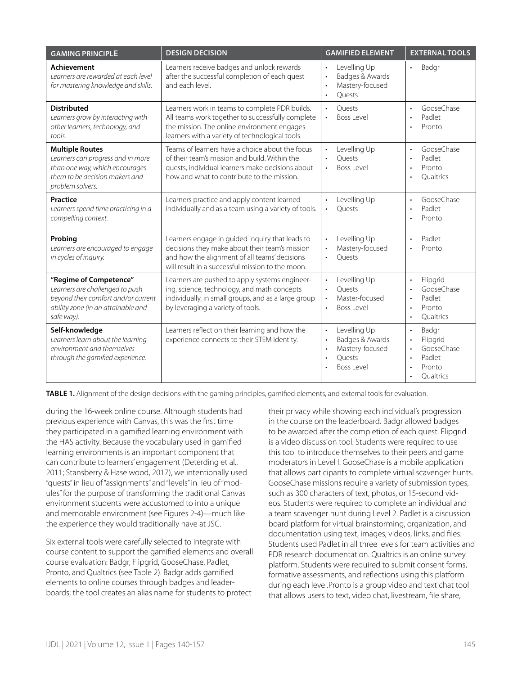| <b>GAMING PRINCIPLE</b>                                                                                                                              | <b>DESIGN DECISION</b>                                                                                                                                                                                 | <b>GAMIFIED ELEMENT</b>                                                                                                      | <b>EXTERNAL TOOLS</b>                                                                                                                      |
|------------------------------------------------------------------------------------------------------------------------------------------------------|--------------------------------------------------------------------------------------------------------------------------------------------------------------------------------------------------------|------------------------------------------------------------------------------------------------------------------------------|--------------------------------------------------------------------------------------------------------------------------------------------|
| <b>Achievement</b><br>Learners are rewarded at each level<br>for mastering knowledge and skills.                                                     | Learners receive badges and unlock rewards<br>after the successful completion of each quest<br>and each level.                                                                                         | Levelling Up<br>$\bullet$<br>Badges & Awards<br>$\bullet$<br>Mastery-focused<br>$\bullet$<br>Ouests<br>$\bullet$             | Badgr<br>$\bullet$                                                                                                                         |
| <b>Distributed</b><br>Learners grow by interacting with<br>other learners, technology, and<br>tools.                                                 | Learners work in teams to complete PDR builds.<br>All teams work together to successfully complete<br>the mission. The online environment engages<br>learners with a variety of technological tools.   | Ouests<br>$\bullet$<br>Boss Level<br>$\bullet$                                                                               | GooseChase<br>$\bullet$<br>Padlet<br>$\bullet$<br>Pronto                                                                                   |
| <b>Multiple Routes</b><br>Learners can progress and in more<br>than one way, which encourages<br>them to be decision makers and<br>problem solvers.  | Teams of learners have a choice about the focus<br>of their team's mission and build. Within the<br>quests, individual learners make decisions about<br>how and what to contribute to the mission.     | Levelling Up<br>$\bullet$<br>Ouests<br>Boss Level<br>$\bullet$                                                               | GooseChase<br>$\bullet$<br>Padlet<br>$\bullet$<br>Pronto<br>$\bullet$<br>Oualtrics<br>$\bullet$                                            |
| <b>Practice</b><br>Learners spend time practicing in a<br>compelling context.                                                                        | Learners practice and apply content learned<br>individually and as a team using a variety of tools.                                                                                                    | Levelling Up<br>$\bullet$<br>Ouests                                                                                          | GooseChase<br>$\bullet$<br>Padlet<br>$\bullet$<br>Pronto<br>$\bullet$                                                                      |
| Probing<br>Learners are encouraged to engage<br>in cycles of inquiry.                                                                                | Learners engage in guided inquiry that leads to<br>decisions they make about their team's mission<br>and how the alignment of all teams' decisions<br>will result in a successful mission to the moon. | Levelling Up<br>$\bullet$<br>Mastery-focused<br>Ouests                                                                       | Padlet<br>$\bullet$<br>Pronto<br>$\bullet$                                                                                                 |
| "Regime of Competence"<br>Learners are challenged to push<br>beyond their comfort and/or current<br>ability zone (in an attainable and<br>safe way). | Learners are pushed to apply systems engineer-<br>ing, science, technology, and math concepts<br>individually, in small groups, and as a large group<br>by leveraging a variety of tools.              | Levelling Up<br>$\cdot$<br>Quests<br>$\ddot{\phantom{0}}$<br>Master-focused<br><b>Boss Level</b><br>$\bullet$                | Flipgrid<br>$\bullet$<br>GooseChase<br>$\bullet$<br>Padlet<br>$\bullet$<br>Pronto<br>$\bullet$<br><b>Oualtrics</b><br>$\bullet$            |
| Self-knowledge<br>Learners learn about the learning<br>environment and themselves<br>through the gamified experience.                                | Learners reflect on their learning and how the<br>experience connects to their STEM identity.                                                                                                          | Levelling Up<br>$\cdot$<br>Badges & Awards<br>$\bullet$<br>Mastery-focused<br>$\bullet$<br>Ouests<br>$\bullet$<br>Boss Level | Badgr<br>$\cdot$<br>Flipgrid<br>$\cdot$<br>GooseChase<br>$\bullet$<br>Padlet<br>$\bullet$<br>Pronto<br>$\bullet$<br>Qualtrics<br>$\bullet$ |

**TABLE 1.** Alignment of the design decisions with the gaming principles, gamified elements, and external tools for evaluation.

during the 16-week online course. Although students had previous experience with Canvas, this was the first time they participated in a gamified learning environment with the HAS activity. Because the vocabulary used in gamified learning environments is an important component that can contribute to learners' engagement (Deterding et al., 2011; Stansberry & Haselwood, 2017), we intentionally used "quests" in lieu of "assignments" and "levels" in lieu of "modules" for the purpose of transforming the traditional Canvas environment students were accustomed to into a unique and memorable environment (see Figures 2-4)—much like the experience they would traditionally have at JSC.

Six external tools were carefully selected to integrate with course content to support the gamified elements and overall course evaluation: Badgr, Flipgrid, GooseChase, Padlet, Pronto, and Qualtrics (see Table 2). Badgr adds gamified elements to online courses through badges and leaderboards; the tool creates an alias name for students to protect

their privacy while showing each individual's progression in the course on the leaderboard. Badgr allowed badges to be awarded after the completion of each quest. Flipgrid is a video discussion tool. Students were required to use this tool to introduce themselves to their peers and game moderators in Level I. GooseChase is a mobile application that allows participants to complete virtual scavenger hunts. GooseChase missions require a variety of submission types, such as 300 characters of text, photos, or 15-second videos. Students were required to complete an individual and a team scavenger hunt during Level 2. Padlet is a discussion board platform for virtual brainstorming, organization, and documentation using text, images, videos, links, and files. Students used Padlet in all three levels for team activities and PDR research documentation. Qualtrics is an online survey platform. Students were required to submit consent forms, formative assessments, and reflections using this platform during each level.Pronto is a group video and text chat tool that allows users to text, video chat, livestream, file share,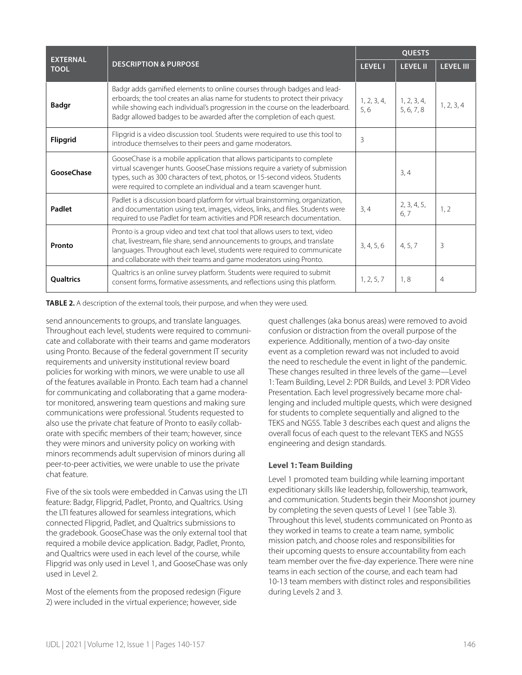| <b>EXTERNAL</b>   |                                                                                                                                                                                                                                                                                                                      |                    | <b>OUESTS</b>             |                  |  |
|-------------------|----------------------------------------------------------------------------------------------------------------------------------------------------------------------------------------------------------------------------------------------------------------------------------------------------------------------|--------------------|---------------------------|------------------|--|
| <b>TOOL</b>       | <b>DESCRIPTION &amp; PURPOSE</b>                                                                                                                                                                                                                                                                                     | <b>LEVEL I</b>     | <b>LEVEL II</b>           | <b>LEVEL III</b> |  |
| <b>Badgr</b>      | Badgr adds gamified elements to online courses through badges and lead-<br>erboards; the tool creates an alias name for students to protect their privacy<br>while showing each individual's progression in the course on the leaderboard.<br>Badgr allowed badges to be awarded after the completion of each quest. | 1, 2, 3, 4,<br>5,6 | 1, 2, 3, 4,<br>5, 6, 7, 8 | 1, 2, 3, 4       |  |
| <b>Flipgrid</b>   | Flipgrid is a video discussion tool. Students were required to use this tool to<br>introduce themselves to their peers and game moderators.                                                                                                                                                                          | 3                  |                           |                  |  |
| <b>GooseChase</b> | GooseChase is a mobile application that allows participants to complete<br>virtual scavenger hunts. GooseChase missions require a variety of submission<br>types, such as 300 characters of text, photos, or 15-second videos. Students<br>were required to complete an individual and a team scavenger hunt.        |                    | 3, 4                      |                  |  |
| Padlet            | Padlet is a discussion board platform for virtual brainstorming, organization,<br>and documentation using text, images, videos, links, and files. Students were<br>required to use Padlet for team activities and PDR research documentation.                                                                        | 3, 4               | 2, 3, 4, 5,<br>6, 7       | 1, 2             |  |
| Pronto            | Pronto is a group video and text chat tool that allows users to text, video<br>chat, livestream, file share, send announcements to groups, and translate<br>languages. Throughout each level, students were required to communicate<br>and collaborate with their teams and game moderators using Pronto.            | 3, 4, 5, 6         | 4, 5, 7                   | 3                |  |
| <b>Qualtrics</b>  | Qualtrics is an online survey platform. Students were required to submit<br>consent forms, formative assessments, and reflections using this platform.                                                                                                                                                               | 1, 2, 5, 7         | 1,8                       | $\overline{4}$   |  |

**TABLE 2.** A description of the external tools, their purpose, and when they were used.

send announcements to groups, and translate languages. Throughout each level, students were required to communicate and collaborate with their teams and game moderators using Pronto. Because of the federal government IT security requirements and university institutional review board policies for working with minors, we were unable to use all of the features available in Pronto. Each team had a channel for communicating and collaborating that a game moderator monitored, answering team questions and making sure communications were professional. Students requested to also use the private chat feature of Pronto to easily collaborate with specific members of their team; however, since they were minors and university policy on working with minors recommends adult supervision of minors during all peer-to-peer activities, we were unable to use the private chat feature.

Five of the six tools were embedded in Canvas using the LTI feature: Badgr, Flipgrid, Padlet, Pronto, and Qualtrics. Using the LTI features allowed for seamless integrations, which connected Flipgrid, Padlet, and Qualtrics submissions to the gradebook. GooseChase was the only external tool that required a mobile device application. Badgr, Padlet, Pronto, and Qualtrics were used in each level of the course, while Flipgrid was only used in Level 1, and GooseChase was only used in Level 2.

Most of the elements from the proposed redesign (Figure 2) were included in the virtual experience; however, side

quest challenges (aka bonus areas) were removed to avoid confusion or distraction from the overall purpose of the experience. Additionally, mention of a two-day onsite event as a completion reward was not included to avoid the need to reschedule the event in light of the pandemic. These changes resulted in three levels of the game—Level 1: Team Building, Level 2: PDR Builds, and Level 3: PDR Video Presentation. Each level progressively became more challenging and included multiple quests, which were designed for students to complete sequentially and aligned to the TEKS and NGSS. Table 3 describes each quest and aligns the overall focus of each quest to the relevant TEKS and NGSS engineering and design standards.

#### **Level 1: Team Building**

Level 1 promoted team building while learning important expeditionary skills like leadership, followership, teamwork, and communication. Students begin their Moonshot journey by completing the seven quests of Level 1 (see Table 3). Throughout this level, students communicated on Pronto as they worked in teams to create a team name, symbolic mission patch, and choose roles and responsibilities for their upcoming quests to ensure accountability from each team member over the five-day experience. There were nine teams in each section of the course, and each team had 10-13 team members with distinct roles and responsibilities during Levels 2 and 3.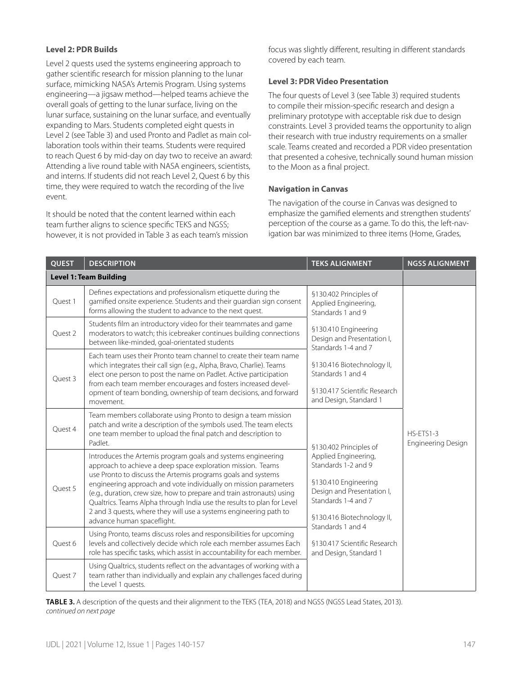#### **Level 2: PDR Builds**

Level 2 quests used the systems engineering approach to gather scientific research for mission planning to the lunar surface, mimicking NASA's Artemis Program. Using systems engineering—a jigsaw method—helped teams achieve the overall goals of getting to the lunar surface, living on the lunar surface, sustaining on the lunar surface, and eventually expanding to Mars. Students completed eight quests in Level 2 (see Table 3) and used Pronto and Padlet as main collaboration tools within their teams. Students were required to reach Quest 6 by mid-day on day two to receive an award: Attending a live round table with NASA engineers, scientists, and interns. If students did not reach Level 2, Quest 6 by this time, they were required to watch the recording of the live event.

It should be noted that the content learned within each team further aligns to science specific TEKS and NGSS; however, it is not provided in Table 3 as each team's mission focus was slightly different, resulting in different standards covered by each team.

#### **Level 3: PDR Video Presentation**

The four quests of Level 3 (see Table 3) required students to compile their mission-specific research and design a preliminary prototype with acceptable risk due to design constraints. Level 3 provided teams the opportunity to align their research with true industry requirements on a smaller scale. Teams created and recorded a PDR video presentation that presented a cohesive, technically sound human mission to the Moon as a final project.

#### **Navigation in Canvas**

The navigation of the course in Canvas was designed to emphasize the gamified elements and strengthen students' perception of the course as a game. To do this, the left-navigation bar was minimized to three items (Home, Grades,

| <b>QUEST</b> | <b>DESCRIPTION</b>                                                                                                                                                                                                                                                                                                                                                                                                                                                                                                     | <b>TEKS ALIGNMENT</b>                                                                                                                                                       | <b>NGSS ALIGNMENT</b>                    |
|--------------|------------------------------------------------------------------------------------------------------------------------------------------------------------------------------------------------------------------------------------------------------------------------------------------------------------------------------------------------------------------------------------------------------------------------------------------------------------------------------------------------------------------------|-----------------------------------------------------------------------------------------------------------------------------------------------------------------------------|------------------------------------------|
|              | <b>Level 1: Team Building</b>                                                                                                                                                                                                                                                                                                                                                                                                                                                                                          |                                                                                                                                                                             |                                          |
| Ouest 1      | Defines expectations and professionalism etiquette during the<br>gamified onsite experience. Students and their guardian sign consent<br>forms allowing the student to advance to the next quest.                                                                                                                                                                                                                                                                                                                      | §130.402 Principles of<br>Applied Engineering,<br>Standards 1 and 9                                                                                                         |                                          |
| Ouest 2      | Students film an introductory video for their teammates and game<br>moderators to watch; this icebreaker continues building connections<br>between like-minded, goal-orientated students                                                                                                                                                                                                                                                                                                                               | §130.410 Engineering<br>Design and Presentation I,<br>Standards 1-4 and 7                                                                                                   |                                          |
| Ouest 3      | Fach team uses their Pronto team channel to create their team name<br>which integrates their call sign (e.g., Alpha, Bravo, Charlie). Teams<br>elect one person to post the name on Padlet. Active participation<br>from each team member encourages and fosters increased devel-<br>opment of team bonding, ownership of team decisions, and forward<br>movement.                                                                                                                                                     | §130.416 Biotechnology II,<br>Standards 1 and 4<br>§130.417 Scientific Research<br>and Design, Standard 1                                                                   |                                          |
| Ouest 4      | Team members collaborate using Pronto to design a team mission<br>patch and write a description of the symbols used. The team elects<br>one team member to upload the final patch and description to<br>Padlet.                                                                                                                                                                                                                                                                                                        | §130.402 Principles of                                                                                                                                                      | $HS-FTS1-3$<br><b>Engineering Design</b> |
| Quest 5      | Introduces the Artemis program goals and systems engineering<br>approach to achieve a deep space exploration mission. Teams<br>use Pronto to discuss the Artemis programs goals and systems<br>engineering approach and vote individually on mission parameters<br>(e.g., duration, crew size, how to prepare and train astronauts) using<br>Qualtrics. Teams Alpha through India use the results to plan for Level<br>2 and 3 quests, where they will use a systems engineering path to<br>advance human spaceflight. | Applied Engineering,<br>Standards 1-2 and 9<br>§130.410 Engineering<br>Design and Presentation I,<br>Standards 1-4 and 7<br>§130.416 Biotechnology II,<br>Standards 1 and 4 |                                          |
| Ouest 6      | Using Pronto, teams discuss roles and responsibilities for upcoming<br>levels and collectively decide which role each member assumes Each<br>role has specific tasks, which assist in accountability for each member.                                                                                                                                                                                                                                                                                                  | §130.417 Scientific Research<br>and Design, Standard 1                                                                                                                      |                                          |
| Quest 7      | Using Qualtrics, students reflect on the advantages of working with a<br>team rather than individually and explain any challenges faced during<br>the Level 1 quests.                                                                                                                                                                                                                                                                                                                                                  |                                                                                                                                                                             |                                          |

**TABLE 3.** A description of the quests and their alignment to the TEKS (TEA, 2018) and NGSS (NGSS Lead States, 2013). *continued on next page*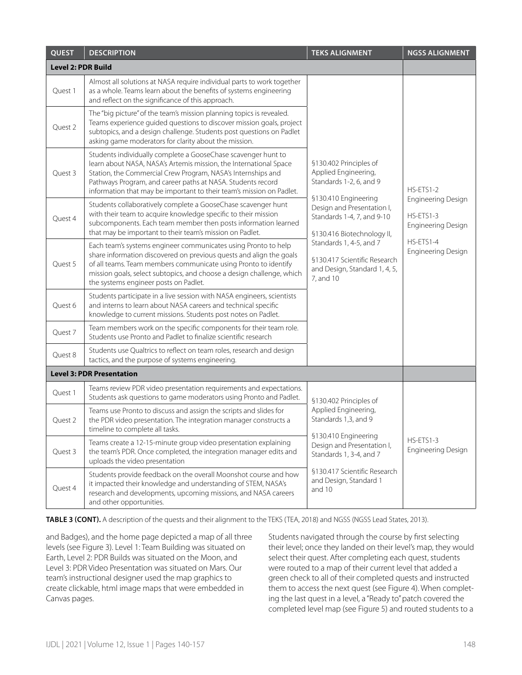| <b>QUEST</b>              | <b>DESCRIPTION</b>                                                                                                                                                                                                                                                                                                                        | <b>TEKS ALIGNMENT</b>                                                                                          | <b>NGSS ALIGNMENT</b>                                        |
|---------------------------|-------------------------------------------------------------------------------------------------------------------------------------------------------------------------------------------------------------------------------------------------------------------------------------------------------------------------------------------|----------------------------------------------------------------------------------------------------------------|--------------------------------------------------------------|
| <b>Level 2: PDR Build</b> |                                                                                                                                                                                                                                                                                                                                           |                                                                                                                |                                                              |
| Quest 1                   | Almost all solutions at NASA require individual parts to work together<br>as a whole. Teams learn about the benefits of systems engineering<br>and reflect on the significance of this approach.                                                                                                                                          |                                                                                                                |                                                              |
| Quest 2                   | The "big picture" of the team's mission planning topics is revealed.<br>Teams experience guided questions to discover mission goals, project<br>subtopics, and a design challenge. Students post questions on Padlet<br>asking game moderators for clarity about the mission.                                                             |                                                                                                                |                                                              |
| Quest 3                   | Students individually complete a GooseChase scavenger hunt to<br>learn about NASA, NASA's Artemis mission, the International Space<br>Station, the Commercial Crew Program, NASA's Internships and<br>Pathways Program, and career paths at NASA. Students record<br>information that may be important to their team's mission on Padlet. | §130.402 Principles of<br>Applied Engineering,<br>Standards 1-2, 6, and 9                                      | $HS-ETS1-2$                                                  |
| Quest 4                   | Students collaboratively complete a GooseChase scavenger hunt<br>with their team to acquire knowledge specific to their mission<br>subcomponents. Each team member then posts information learned<br>that may be important to their team's mission on Padlet.                                                                             | §130.410 Engineering<br>Design and Presentation I,<br>Standards 1-4, 7, and 9-10<br>§130.416 Biotechnology II, | <b>Engineering Design</b><br>HS-ETS1-3<br>Engineering Design |
| Quest 5                   | Each team's systems engineer communicates using Pronto to help<br>share information discovered on previous quests and align the goals<br>of all teams. Team members communicate using Pronto to identify<br>mission goals, select subtopics, and choose a design challenge, which<br>the systems engineer posts on Padlet.                | Standards 1, 4-5, and 7<br>§130.417 Scientific Research<br>and Design, Standard 1, 4, 5,<br>7, and 10          | HS-ETS1-4<br>Engineering Design                              |
| Quest 6                   | Students participate in a live session with NASA engineers, scientists<br>and interns to learn about NASA careers and technical specific<br>knowledge to current missions. Students post notes on Padlet.                                                                                                                                 |                                                                                                                |                                                              |
| Quest 7                   | Team members work on the specific components for their team role.<br>Students use Pronto and Padlet to finalize scientific research                                                                                                                                                                                                       |                                                                                                                |                                                              |
| Quest 8                   | Students use Qualtrics to reflect on team roles, research and design<br>tactics, and the purpose of systems engineering.                                                                                                                                                                                                                  |                                                                                                                |                                                              |
|                           | <b>Level 3: PDR Presentation</b>                                                                                                                                                                                                                                                                                                          |                                                                                                                |                                                              |
| Quest 1                   | Teams review PDR video presentation requirements and expectations.<br>Students ask questions to game moderators using Pronto and Padlet.                                                                                                                                                                                                  | §130.402 Principles of                                                                                         |                                                              |
| Quest 2                   | Teams use Pronto to discuss and assign the scripts and slides for<br>the PDR video presentation. The integration manager constructs a<br>timeline to complete all tasks.                                                                                                                                                                  | Applied Engineering,<br>Standards 1,3, and 9                                                                   |                                                              |
| Quest 3                   | Teams create a 12-15-minute group video presentation explaining<br>the team's PDR. Once completed, the integration manager edits and<br>uploads the video presentation                                                                                                                                                                    | §130.410 Engineering<br>Design and Presentation I,<br>Standards 1, 3-4, and 7                                  | HS-ETS1-3<br>Engineering Design                              |
| Quest 4                   | Students provide feedback on the overall Moonshot course and how<br>it impacted their knowledge and understanding of STEM, NASA's<br>research and developments, upcoming missions, and NASA careers<br>and other opportunities.                                                                                                           | §130.417 Scientific Research<br>and Design, Standard 1<br>and 10                                               |                                                              |

**TABLE 3 (CONT).** A description of the quests and their alignment to the TEKS (TEA, 2018) and NGSS (NGSS Lead States, 2013).

and Badges), and the home page depicted a map of all three levels (see Figure 3). Level 1: Team Building was situated on Earth, Level 2: PDR Builds was situated on the Moon, and Level 3: PDR Video Presentation was situated on Mars. Our team's instructional designer used the map graphics to create clickable, html image maps that were embedded in Canvas pages.

Students navigated through the course by first selecting their level; once they landed on their level's map, they would select their quest. After completing each quest, students were routed to a map of their current level that added a green check to all of their completed quests and instructed them to access the next quest (see Figure 4). When completing the last quest in a level, a "Ready to" patch covered the completed level map (see Figure 5) and routed students to a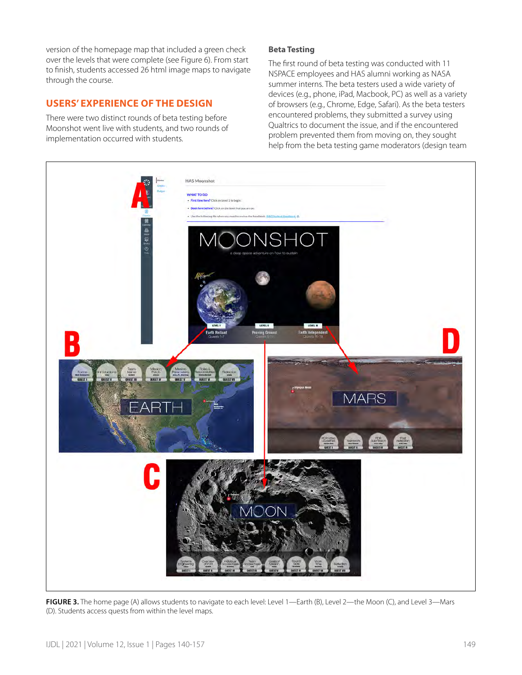version of the homepage map that included a green check over the levels that were complete (see Figure 6). From start to finish, students accessed 26 html image maps to navigate through the course.

## **USERS' EXPERIENCE OF THE DESIGN**

There were two distinct rounds of beta testing before Moonshot went live with students, and two rounds of implementation occurred with students.

## **Beta Testing**

The first round of beta testing was conducted with 11 NSPACE employees and HAS alumni working as NASA summer interns. The beta testers used a wide variety of devices (e.g., phone, iPad, Macbook, PC) as well as a variety of browsers (e.g., Chrome, Edge, Safari). As the beta testers encountered problems, they submitted a survey using Qualtrics to document the issue, and if the encountered problem prevented them from moving on, they sought help from the beta testing game moderators (design team



**FIGURE 3.** The home page (A) allows students to navigate to each level: Level 1—Earth (B), Level 2—the Moon (C), and Level 3—Mars (D). Students access quests from within the level maps.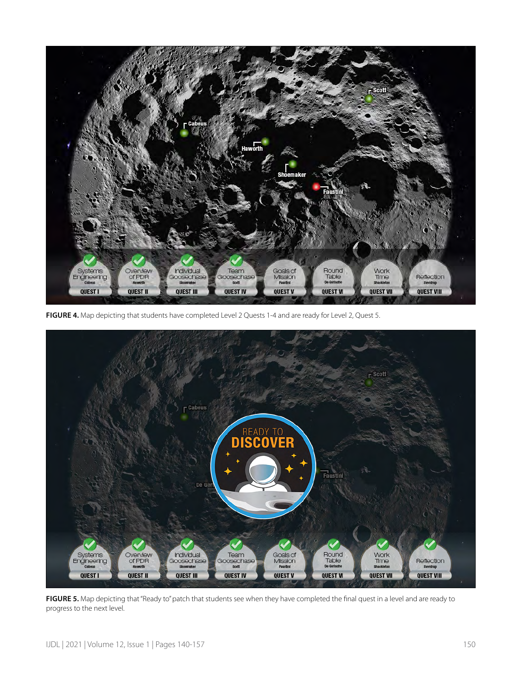

**FIGURE 4.** Map depicting that students have completed Level 2 Quests 1-4 and are ready for Level 2, Quest 5.



FIGURE 5. Map depicting that "Ready to" patch that students see when they have completed the final quest in a level and are ready to progress to the next level.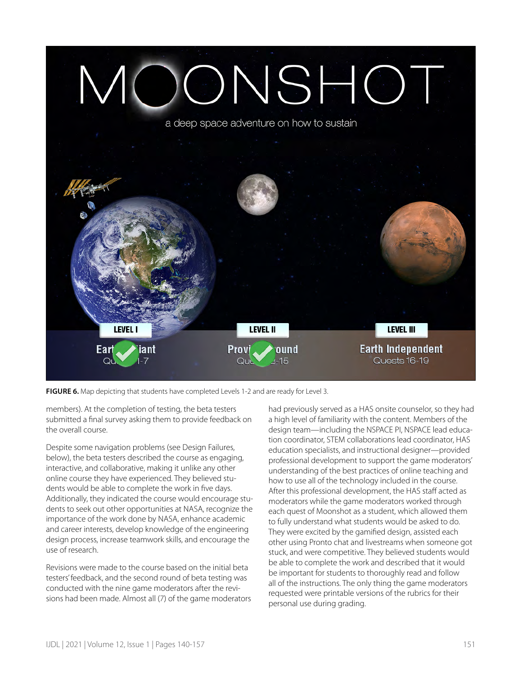

**FIGURE 6.** Map depicting that students have completed Levels 1-2 and are ready for Level 3.

members). At the completion of testing, the beta testers submitted a final survey asking them to provide feedback on the overall course.

Despite some navigation problems (see Design Failures, below), the beta testers described the course as engaging, interactive, and collaborative, making it unlike any other online course they have experienced. They believed students would be able to complete the work in five days. Additionally, they indicated the course would encourage students to seek out other opportunities at NASA, recognize the importance of the work done by NASA, enhance academic and career interests, develop knowledge of the engineering design process, increase teamwork skills, and encourage the use of research.

Revisions were made to the course based on the initial beta testers' feedback, and the second round of beta testing was conducted with the nine game moderators after the revisions had been made. Almost all (7) of the game moderators had previously served as a HAS onsite counselor, so they had a high level of familiarity with the content. Members of the design team—including the NSPACE PI, NSPACE lead education coordinator, STEM collaborations lead coordinator, HAS education specialists, and instructional designer—provided professional development to support the game moderators' understanding of the best practices of online teaching and how to use all of the technology included in the course. After this professional development, the HAS staff acted as moderators while the game moderators worked through each quest of Moonshot as a student, which allowed them to fully understand what students would be asked to do. They were excited by the gamified design, assisted each other using Pronto chat and livestreams when someone got stuck, and were competitive. They believed students would be able to complete the work and described that it would be important for students to thoroughly read and follow all of the instructions. The only thing the game moderators requested were printable versions of the rubrics for their personal use during grading.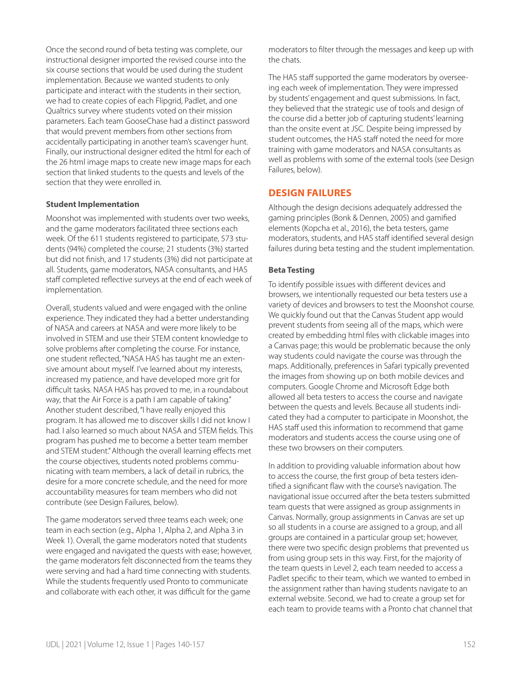Once the second round of beta testing was complete, our instructional designer imported the revised course into the six course sections that would be used during the student implementation. Because we wanted students to only participate and interact with the students in their section, we had to create copies of each Flipgrid, Padlet, and one Qualtrics survey where students voted on their mission parameters. Each team GooseChase had a distinct password that would prevent members from other sections from accidentally participating in another team's scavenger hunt. Finally, our instructional designer edited the html for each of the 26 html image maps to create new image maps for each section that linked students to the quests and levels of the section that they were enrolled in.

#### **Student Implementation**

Moonshot was implemented with students over two weeks, and the game moderators facilitated three sections each week. Of the 611 students registered to participate, 573 students (94%) completed the course; 21 students (3%) started but did not finish, and 17 students (3%) did not participate at all. Students, game moderators, NASA consultants, and HAS staff completed reflective surveys at the end of each week of implementation.

Overall, students valued and were engaged with the online experience. They indicated they had a better understanding of NASA and careers at NASA and were more likely to be involved in STEM and use their STEM content knowledge to solve problems after completing the course. For instance, one student reflected, "NASA HAS has taught me an extensive amount about myself. I've learned about my interests, increased my patience, and have developed more grit for difficult tasks. NASA HAS has proved to me, in a roundabout way, that the Air Force is a path I am capable of taking." Another student described, "I have really enjoyed this program. It has allowed me to discover skills I did not know I had. I also learned so much about NASA and STEM fields. This program has pushed me to become a better team member and STEM student." Although the overall learning effects met the course objectives, students noted problems communicating with team members, a lack of detail in rubrics, the desire for a more concrete schedule, and the need for more accountability measures for team members who did not contribute (see Design Failures, below).

The game moderators served three teams each week; one team in each section (e.g., Alpha 1, Alpha 2, and Alpha 3 in Week 1). Overall, the game moderators noted that students were engaged and navigated the quests with ease; however, the game moderators felt disconnected from the teams they were serving and had a hard time connecting with students. While the students frequently used Pronto to communicate and collaborate with each other, it was difficult for the game

moderators to filter through the messages and keep up with the chats.

The HAS staff supported the game moderators by overseeing each week of implementation. They were impressed by students' engagement and quest submissions. In fact, they believed that the strategic use of tools and design of the course did a better job of capturing students' learning than the onsite event at JSC. Despite being impressed by student outcomes, the HAS staff noted the need for more training with game moderators and NASA consultants as well as problems with some of the external tools (see Design Failures, below).

## **DESIGN FAILURES**

Although the design decisions adequately addressed the gaming principles (Bonk & Dennen, 2005) and gamified elements (Kopcha et al., 2016), the beta testers, game moderators, students, and HAS staff identified several design failures during beta testing and the student implementation.

## **Beta Testing**

To identify possible issues with different devices and browsers, we intentionally requested our beta testers use a variety of devices and browsers to test the Moonshot course. We quickly found out that the Canvas Student app would prevent students from seeing all of the maps, which were created by embedding html files with clickable images into a Canvas page; this would be problematic because the only way students could navigate the course was through the maps. Additionally, preferences in Safari typically prevented the images from showing up on both mobile devices and computers. Google Chrome and Microsoft Edge both allowed all beta testers to access the course and navigate between the quests and levels. Because all students indicated they had a computer to participate in Moonshot, the HAS staff used this information to recommend that game moderators and students access the course using one of these two browsers on their computers.

In addition to providing valuable information about how to access the course, the first group of beta testers identified a significant flaw with the course's navigation. The navigational issue occurred after the beta testers submitted team quests that were assigned as group assignments in Canvas. Normally, group assignments in Canvas are set up so all students in a course are assigned to a group, and all groups are contained in a particular group set; however, there were two specific design problems that prevented us from using group sets in this way. First, for the majority of the team quests in Level 2, each team needed to access a Padlet specific to their team, which we wanted to embed in the assignment rather than having students navigate to an external website. Second, we had to create a group set for each team to provide teams with a Pronto chat channel that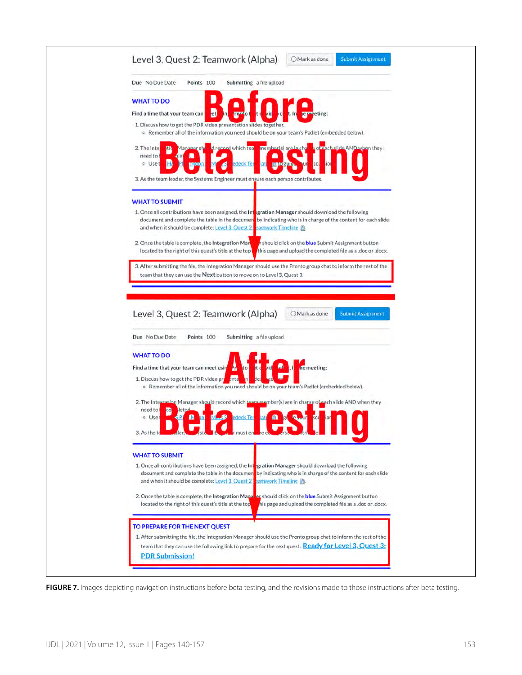| Due No Due Date                                    | Points 100                                            | Submitting a file upload                                                                                                                                                                                                 |                                                  |              |                                                                                                                           |  |
|----------------------------------------------------|-------------------------------------------------------|--------------------------------------------------------------------------------------------------------------------------------------------------------------------------------------------------------------------------|--------------------------------------------------|--------------|---------------------------------------------------------------------------------------------------------------------------|--|
| <b>WHAT TO DO</b>                                  |                                                       |                                                                                                                                                                                                                          |                                                  |              |                                                                                                                           |  |
| Find a time that your team can                     | <sub>jet</sub>                                        | ronto                                                                                                                                                                                                                    |                                                  | le meeting:  |                                                                                                                           |  |
|                                                    |                                                       | 1. Discuss how to get the PDR video presentation slides together.<br>o Remember all of the information you need should be on your team's Padlet (embedded below).                                                        |                                                  |              |                                                                                                                           |  |
| 2. The Inter<br>need to b<br>a Uset                | Manager shi                                           | d record which tea<br><u>deck Tei</u><br>3. As the team leader, the Systems Engineer must ensure each person contributes.                                                                                                | member(s) are in cha<br>lat.<br><b>Excessive</b> |              | a of each slide AND when they                                                                                             |  |
|                                                    |                                                       |                                                                                                                                                                                                                          |                                                  |              |                                                                                                                           |  |
| <b>WHAT TO SUBMIT</b>                              |                                                       |                                                                                                                                                                                                                          |                                                  |              |                                                                                                                           |  |
|                                                    | and when it should be complete: Level 3, Quest 2      | 1. Once all contributions have been assigned, the Integration Manager should download the following<br>document and complete the table in the document by indicating who is in charge of the content for each slide      | eamwork Timeline                                 |              |                                                                                                                           |  |
| 2. Once the table is complete, the Integration Man | located to the right of this quest's title at the top |                                                                                                                                                                                                                          |                                                  |              | r should click on the <b>blue</b> Submit Assignment button<br>this page and upload the completed file as a .doc or .docx. |  |
|                                                    |                                                       | 3. After submitting the file, the Integration Manager should use the Pronto group chat to inform the rest of the                                                                                                         |                                                  |              |                                                                                                                           |  |
|                                                    |                                                       | team that they can use the Next button to move on to Level 3, Quest 3.                                                                                                                                                   |                                                  |              |                                                                                                                           |  |
| Level 3, Quest 2: Teamwork (Alpha)                 |                                                       |                                                                                                                                                                                                                          |                                                  | Mark as done | <b>Submit Assignment</b>                                                                                                  |  |
| Due No Due Date                                    | Points 100                                            | Submitting a file upload                                                                                                                                                                                                 |                                                  |              |                                                                                                                           |  |
| <b>WHAT TO DO</b>                                  |                                                       |                                                                                                                                                                                                                          |                                                  |              |                                                                                                                           |  |
| Find a time that your team can meet usin           |                                                       | kt d<br>to<br>д                                                                                                                                                                                                          | <b>Cal</b><br><b>id</b>                          | he meeting:  |                                                                                                                           |  |
| 1. Discuss how to get the PDR video pro            |                                                       | <b>Anta</b><br><b>Des</b><br>o Remember all of the information you need should be on your team's Padlet (embedded below).                                                                                                |                                                  |              |                                                                                                                           |  |
| need to<br>co<br>o Use                             |                                                       | 2. The Integration Manager should record which team member(s) are in charge of each slide AND when they<br>edeck Ter                                                                                                     |                                                  |              |                                                                                                                           |  |
| 3. As the te                                       |                                                       | ader. Sit h a rimuster reel                                                                                                                                                                                              |                                                  |              |                                                                                                                           |  |
| <b>WHAT TO SUBMIT</b>                              |                                                       |                                                                                                                                                                                                                          |                                                  |              |                                                                                                                           |  |
|                                                    | and when it should be complete: Level 3, Quest 21     | 1. Once all contributions have been assigned, the Integration Manager should download the following<br>document and complete the table in the documen by indicating who is in charge of the content for each slide       | eamwork Timeline                                 |              |                                                                                                                           |  |
|                                                    | located to the right of this quest's title at the top | 2. Once the table is complete, the Integration Manaker should click on the <b>blue</b> Submit Assignment button                                                                                                          |                                                  |              | his page and upload the completed file as a .doc or .docx.                                                                |  |
| TO PREPARE FOR THE NEXT QUEST                      |                                                       |                                                                                                                                                                                                                          |                                                  |              |                                                                                                                           |  |
|                                                    |                                                       | 1. After submitting the file, the Integration Manager should use the Pronto group chat to inform the rest of the<br>team that they can use the following link to prepare for the next quest: Ready for Level 3, Quest 3: |                                                  |              |                                                                                                                           |  |

FIGURE 7. Images depicting navigation instructions before beta testing, and the revisions made to those instructions after beta testing.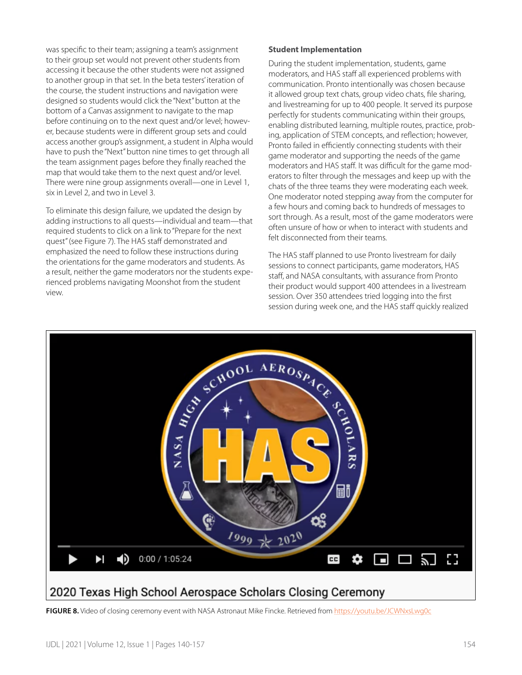was specific to their team; assigning a team's assignment to their group set would not prevent other students from accessing it because the other students were not assigned to another group in that set. In the beta testers' iteration of the course, the student instructions and navigation were designed so students would click the "Next" button at the bottom of a Canvas assignment to navigate to the map before continuing on to the next quest and/or level; however, because students were in different group sets and could access another group's assignment, a student in Alpha would have to push the "Next" button nine times to get through all the team assignment pages before they finally reached the map that would take them to the next quest and/or level. There were nine group assignments overall—one in Level 1, six in Level 2, and two in Level 3.

To eliminate this design failure, we updated the design by adding instructions to all quests—individual and team—that required students to click on a link to "Prepare for the next quest" (see Figure 7). The HAS staff demonstrated and emphasized the need to follow these instructions during the orientations for the game moderators and students. As a result, neither the game moderators nor the students experienced problems navigating Moonshot from the student view.

#### **Student Implementation**

During the student implementation, students, game moderators, and HAS staff all experienced problems with communication. Pronto intentionally was chosen because it allowed group text chats, group video chats, file sharing, and livestreaming for up to 400 people. It served its purpose perfectly for students communicating within their groups, enabling distributed learning, multiple routes, practice, probing, application of STEM concepts, and reflection; however, Pronto failed in efficiently connecting students with their game moderator and supporting the needs of the game moderators and HAS staff. It was difficult for the game moderators to filter through the messages and keep up with the chats of the three teams they were moderating each week. One moderator noted stepping away from the computer for a few hours and coming back to hundreds of messages to sort through. As a result, most of the game moderators were often unsure of how or when to interact with students and felt disconnected from their teams.

The HAS staff planned to use Pronto livestream for daily sessions to connect participants, game moderators, HAS staff, and NASA consultants, with assurance from Pronto their product would support 400 attendees in a livestream session. Over 350 attendees tried logging into the first session during week one, and the HAS staff quickly realized



**FIGURE 8.** Video of closing ceremony event with NASA Astronaut Mike Fincke. Retrieved from https://youtu.be/JCWNxsLwg0c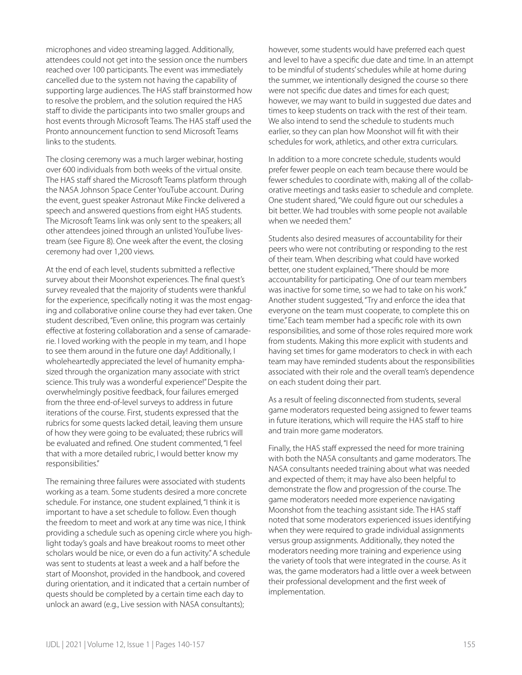microphones and video streaming lagged. Additionally, attendees could not get into the session once the numbers reached over 100 participants. The event was immediately cancelled due to the system not having the capability of supporting large audiences. The HAS staff brainstormed how to resolve the problem, and the solution required the HAS staff to divide the participants into two smaller groups and host events through Microsoft Teams. The HAS staff used the Pronto announcement function to send Microsoft Teams links to the students.

The closing ceremony was a much larger webinar, hosting over 600 individuals from both weeks of the virtual onsite. The HAS staff shared the Microsoft Teams platform through the NASA Johnson Space Center YouTube account. During the event, guest speaker Astronaut Mike Fincke delivered a speech and answered questions from eight HAS students. The Microsoft Teams link was only sent to the speakers; all other attendees joined through an unlisted YouTube livestream (see Figure 8). One week after the event, the closing ceremony had over 1,200 views.

At the end of each level, students submitted a reflective survey about their Moonshot experiences. The final quest's survey revealed that the majority of students were thankful for the experience, specifically noting it was the most engaging and collaborative online course they had ever taken. One student described, "Even online, this program was certainly effective at fostering collaboration and a sense of camaraderie. I loved working with the people in my team, and I hope to see them around in the future one day! Additionally, I wholeheartedly appreciated the level of humanity emphasized through the organization many associate with strict science. This truly was a wonderful experience!" Despite the overwhelmingly positive feedback, four failures emerged from the three end-of-level surveys to address in future iterations of the course. First, students expressed that the rubrics for some quests lacked detail, leaving them unsure of how they were going to be evaluated; these rubrics will be evaluated and refined. One student commented, "I feel that with a more detailed rubric, I would better know my responsibilities."

The remaining three failures were associated with students working as a team. Some students desired a more concrete schedule. For instance, one student explained, "I think it is important to have a set schedule to follow. Even though the freedom to meet and work at any time was nice, I think providing a schedule such as opening circle where you highlight today's goals and have breakout rooms to meet other scholars would be nice, or even do a fun activity." A schedule was sent to students at least a week and a half before the start of Moonshot, provided in the handbook, and covered during orientation, and it indicated that a certain number of quests should be completed by a certain time each day to unlock an award (e.g., Live session with NASA consultants);

however, some students would have preferred each quest and level to have a specific due date and time. In an attempt to be mindful of students' schedules while at home during the summer, we intentionally designed the course so there were not specific due dates and times for each quest; however, we may want to build in suggested due dates and times to keep students on track with the rest of their team. We also intend to send the schedule to students much earlier, so they can plan how Moonshot will fit with their schedules for work, athletics, and other extra curriculars.

In addition to a more concrete schedule, students would prefer fewer people on each team because there would be fewer schedules to coordinate with, making all of the collaborative meetings and tasks easier to schedule and complete. One student shared, "We could figure out our schedules a bit better. We had troubles with some people not available when we needed them."

Students also desired measures of accountability for their peers who were not contributing or responding to the rest of their team. When describing what could have worked better, one student explained, "There should be more accountability for participating. One of our team members was inactive for some time, so we had to take on his work." Another student suggested, "Try and enforce the idea that everyone on the team must cooperate, to complete this on time." Each team member had a specific role with its own responsibilities, and some of those roles required more work from students. Making this more explicit with students and having set times for game moderators to check in with each team may have reminded students about the responsibilities associated with their role and the overall team's dependence on each student doing their part.

As a result of feeling disconnected from students, several game moderators requested being assigned to fewer teams in future iterations, which will require the HAS staff to hire and train more game moderators.

Finally, the HAS staff expressed the need for more training with both the NASA consultants and game moderators. The NASA consultants needed training about what was needed and expected of them; it may have also been helpful to demonstrate the flow and progression of the course. The game moderators needed more experience navigating Moonshot from the teaching assistant side. The HAS staff noted that some moderators experienced issues identifying when they were required to grade individual assignments versus group assignments. Additionally, they noted the moderators needing more training and experience using the variety of tools that were integrated in the course. As it was, the game moderators had a little over a week between their professional development and the first week of implementation.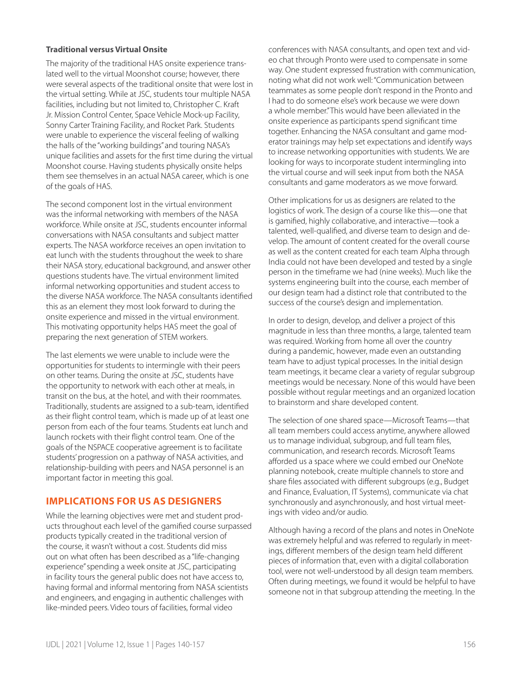#### **Traditional versus Virtual Onsite**

The majority of the traditional HAS onsite experience translated well to the virtual Moonshot course; however, there were several aspects of the traditional onsite that were lost in the virtual setting. While at JSC, students tour multiple NASA facilities, including but not limited to, Christopher C. Kraft Jr. Mission Control Center, Space Vehicle Mock-up Facility, Sonny Carter Training Facility, and Rocket Park. Students were unable to experience the visceral feeling of walking the halls of the "working buildings" and touring NASA's unique facilities and assets for the first time during the virtual Moonshot course. Having students physically onsite helps them see themselves in an actual NASA career, which is one of the goals of HAS.

The second component lost in the virtual environment was the informal networking with members of the NASA workforce. While onsite at JSC, students encounter informal conversations with NASA consultants and subject matter experts. The NASA workforce receives an open invitation to eat lunch with the students throughout the week to share their NASA story, educational background, and answer other questions students have. The virtual environment limited informal networking opportunities and student access to the diverse NASA workforce. The NASA consultants identified this as an element they most look forward to during the onsite experience and missed in the virtual environment. This motivating opportunity helps HAS meet the goal of preparing the next generation of STEM workers.

The last elements we were unable to include were the opportunities for students to intermingle with their peers on other teams. During the onsite at JSC, students have the opportunity to network with each other at meals, in transit on the bus, at the hotel, and with their roommates. Traditionally, students are assigned to a sub-team, identified as their flight control team, which is made up of at least one person from each of the four teams. Students eat lunch and launch rockets with their flight control team. One of the goals of the NSPACE cooperative agreement is to facilitate students' progression on a pathway of NASA activities, and relationship-building with peers and NASA personnel is an important factor in meeting this goal.

## **IMPLICATIONS FOR US AS DESIGNERS**

While the learning objectives were met and student products throughout each level of the gamified course surpassed products typically created in the traditional version of the course, it wasn't without a cost. Students did miss out on what often has been described as a "life-changing experience" spending a week onsite at JSC, participating in facility tours the general public does not have access to, having formal and informal mentoring from NASA scientists and engineers, and engaging in authentic challenges with like-minded peers. Video tours of facilities, formal video

conferences with NASA consultants, and open text and video chat through Pronto were used to compensate in some way. One student expressed frustration with communication, noting what did not work well: "Communication between teammates as some people don't respond in the Pronto and I had to do someone else's work because we were down a whole member" This would have been alleviated in the onsite experience as participants spend significant time together. Enhancing the NASA consultant and game moderator trainings may help set expectations and identify ways to increase networking opportunities with students. We are looking for ways to incorporate student intermingling into the virtual course and will seek input from both the NASA consultants and game moderators as we move forward.

Other implications for us as designers are related to the logistics of work. The design of a course like this—one that is gamified, highly collaborative, and interactive—took a talented, well-qualified, and diverse team to design and develop. The amount of content created for the overall course as well as the content created for each team Alpha through India could not have been developed and tested by a single person in the timeframe we had (nine weeks). Much like the systems engineering built into the course, each member of our design team had a distinct role that contributed to the success of the course's design and implementation.

In order to design, develop, and deliver a project of this magnitude in less than three months, a large, talented team was required. Working from home all over the country during a pandemic, however, made even an outstanding team have to adjust typical processes. In the initial design team meetings, it became clear a variety of regular subgroup meetings would be necessary. None of this would have been possible without regular meetings and an organized location to brainstorm and share developed content.

The selection of one shared space—Microsoft Teams—that all team members could access anytime, anywhere allowed us to manage individual, subgroup, and full team files, communication, and research records. Microsoft Teams afforded us a space where we could embed our OneNote planning notebook, create multiple channels to store and share files associated with different subgroups (e.g., Budget and Finance, Evaluation, IT Systems), communicate via chat synchronously and asynchronously, and host virtual meetings with video and/or audio.

Although having a record of the plans and notes in OneNote was extremely helpful and was referred to regularly in meetings, different members of the design team held different pieces of information that, even with a digital collaboration tool, were not well-understood by all design team members. Often during meetings, we found it would be helpful to have someone not in that subgroup attending the meeting. In the